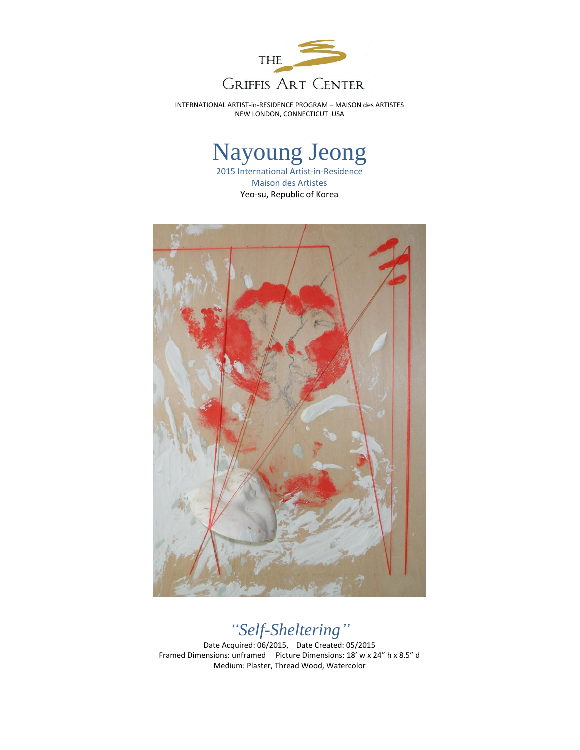

INTERNATIONAL ARTIST-in-RESIDENCE PROGRAM – MAISON des ARTISTES NEW LONDON, CONNECTICUT USA

## Nayoung Jeong

2015 International Artist-in-Residence Maison des Artistes Yeo-su, Republic of Korea



## *"Self-Sheltering"*

Date Acquired: 06/2015, Date Created: 05/2015 Framed Dimensions: unframed Picture Dimensions: 18' w x 24" h x 8.5" d Medium: Plaster, Thread Wood, Watercolor